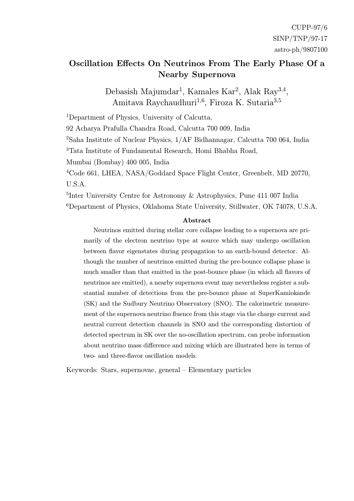#### Oscillation Effects On Neutrinos From The Early Phase Of a Nearby Supernova

Debasish Majumdar<sup>1</sup>, Kamales Kar<sup>2</sup>, Alak Ray<sup>3,4</sup>, Amitava Raychaudhuri<sup>1,6</sup>, Firoza K. Sutaria<sup>3,5</sup>

<sup>1</sup>Department of Physics, University of Calcutta,

92 Acharya Prafulla Chandra Road, Calcutta 700 009, India

<sup>2</sup>Saha Institute of Nuclear Physics, 1/AF Bidhannagar, Calcutta 700 064, India

<sup>3</sup>Tata Institute of Fundamental Research, Homi Bhabha Road,

Mumbai (Bombay) 400 005, India

<sup>4</sup>Code 661, LHEA, NASA/Goddard Space Flight Center, Greenbelt, MD 20770, U.S.A.

<sup>5</sup>Inter University Centre for Astronomy & Astrophysics, Pune 411 007 India <sup>6</sup>Department of Physics, Oklahoma State University, Stillwater, OK 74078, U.S.A.

#### Abstract

Neutrinos emitted during stellar core collapse leading to a supernova are primarily of the electron neutrino type at source which may undergo oscillation between flavor eigenstates during propagation to an earth-bound detector. Although the number of neutrinos emitted during the pre-bounce collapse phase is much smaller than that emitted in the post-bounce phase (in which all flavors of neutrinos are emitted), a nearby supernova event may nevertheless register a substantial number of detections from the pre-bounce phase at SuperKamiokande (SK) and the Sudbury Neutrino Observatory (SNO). The calorimetric measurement of the supernova neutrino fluence from this stage via the charge current and neutral current detection channels in SNO and the corresponding distortion of detected spectrum in SK over the no-oscillation spectrum, can probe information about neutrino mass difference and mixing which are illustrated here in terms of two- and three-flavor oscillation models.

Keywords: Stars, supernovae, general – Elementary particles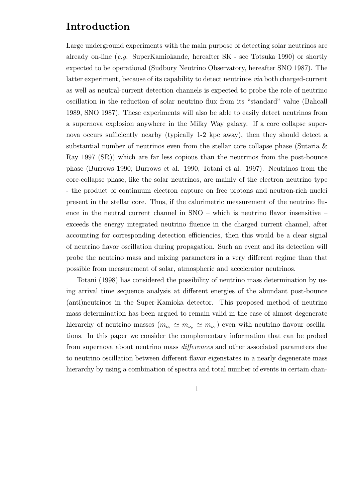#### Introduction

Large underground experiments with the main purpose of detecting solar neutrinos are already on-line (e.g. SuperKamiokande, hereafter SK - see Totsuka 1990) or shortly expected to be operational (Sudbury Neutrino Observatory, hereafter SNO 1987). The latter experiment, because of its capability to detect neutrinos via both charged-current as well as neutral-current detection channels is expected to probe the role of neutrino oscillation in the reduction of solar neutrino flux from its "standard" value (Bahcall 1989, SNO 1987). These experiments will also be able to easily detect neutrinos from a supernova explosion anywhere in the Milky Way galaxy. If a core collapse supernova occurs sufficiently nearby (typically 1-2 kpc away), then they should detect a substantial number of neutrinos even from the stellar core collapse phase (Sutaria & Ray 1997 (SR)) which are far less copious than the neutrinos from the post-bounce phase (Burrows 1990; Burrows et al. 1990, Totani et al. 1997). Neutrinos from the core-collapse phase, like the solar neutrinos, are mainly of the electron neutrino type - the product of continuum electron capture on free protons and neutron-rich nuclei present in the stellar core. Thus, if the calorimetric measurement of the neutrino fluence in the neutral current channel in SNO – which is neutrino flavor insensitive – exceeds the energy integrated neutrino fluence in the charged current channel, after accounting for corresponding detection efficiencies, then this would be a clear signal of neutrino flavor oscillation during propagation. Such an event and its detection will probe the neutrino mass and mixing parameters in a very different regime than that possible from measurement of solar, atmospheric and accelerator neutrinos.

Totani (1998) has considered the possibility of neutrino mass determination by using arrival time sequence analysis at different energies of the abundant post-bounce (anti)neutrinos in the Super-Kamioka detector. This proposed method of neutrino mass determination has been argued to remain valid in the case of almost degenerate hierarchy of neutrino masses  $(m_{\nu_e} \simeq m_{\nu_\mu} \simeq m_{\nu_\tau})$  even with neutrino flavour oscillations. In this paper we consider the complementary information that can be probed from supernova about neutrino mass differences and other associated parameters due to neutrino oscillation between different flavor eigenstates in a nearly degenerate mass hierarchy by using a combination of spectra and total number of events in certain chan-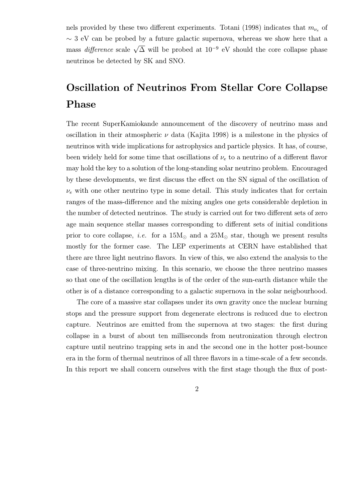nels provided by these two different experiments. Totani (1998) indicates that  $m_{\nu_e}$  of  $\sim$  3 eV can be probed by a future galactic supernova, whereas we show here that a mass *difference* scale  $\sqrt{\Delta}$  will be probed at  $10^{-9}$  eV should the core collapse phase neutrinos be detected by SK and SNO.

# Oscillation of Neutrinos From Stellar Core Collapse Phase

The recent SuperKamiokande announcement of the discovery of neutrino mass and oscillation in their atmospheric  $\nu$  data (Kajita 1998) is a milestone in the physics of neutrinos with wide implications for astrophysics and particle physics. It has, of course, been widely held for some time that oscillations of  $\nu_e$  to a neutrino of a different flavor may hold the key to a solution of the long-standing solar neutrino problem. Encouraged by these developments, we first discuss the effect on the SN signal of the oscillation of  $\nu_e$  with one other neutrino type in some detail. This study indicates that for certain ranges of the mass-difference and the mixing angles one gets considerable depletion in the number of detected neutrinos. The study is carried out for two different sets of zero age main sequence stellar masses corresponding to different sets of initial conditions prior to core collapse, *i.e.* for a  $15M_{\odot}$  and a  $25M_{\odot}$  star, though we present results mostly for the former case. The LEP experiments at CERN have established that there are three light neutrino flavors. In view of this, we also extend the analysis to the case of three-neutrino mixing. In this scenario, we choose the three neutrino masses so that one of the oscillation lengths is of the order of the sun-earth distance while the other is of a distance corresponding to a galactic supernova in the solar neigbourhood.

The core of a massive star collapses under its own gravity once the nuclear burning stops and the pressure support from degenerate electrons is reduced due to electron capture. Neutrinos are emitted from the supernova at two stages: the first during collapse in a burst of about ten milliseconds from neutronization through electron capture until neutrino trapping sets in and the second one in the hotter post-bounce era in the form of thermal neutrinos of all three flavors in a time-scale of a few seconds. In this report we shall concern ourselves with the first stage though the flux of post-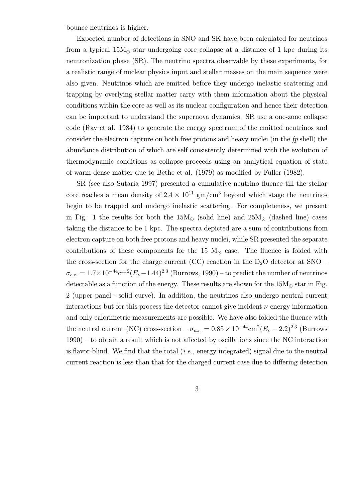bounce neutrinos is higher.

Expected number of detections in SNO and SK have been calculated for neutrinos from a typical  $15M_{\odot}$  star undergoing core collapse at a distance of 1 kpc during its neutronization phase (SR). The neutrino spectra observable by these experiments, for a realistic range of nuclear physics input and stellar masses on the main sequence were also given. Neutrinos which are emitted before they undergo inelastic scattering and trapping by overlying stellar matter carry with them information about the physical conditions within the core as well as its nuclear configuration and hence their detection can be important to understand the supernova dynamics. SR use a one-zone collapse code (Ray et al. 1984) to generate the energy spectrum of the emitted neutrinos and consider the electron capture on both free protons and heavy nuclei (in the  $fp$  shell) the abundance distribution of which are self consistently determined with the evolution of thermodynamic conditions as collapse proceeds using an analytical equation of state of warm dense matter due to Bethe et al. (1979) as modified by Fuller (1982).

SR (see also Sutaria 1997) presented a cumulative neutrino fluence till the stellar core reaches a mean density of  $2.4 \times 10^{11}$  gm/cm<sup>3</sup> beyond which stage the neutrinos begin to be trapped and undergo inelastic scattering. For completeness, we present in Fig. 1 the results for both the  $15M_{\odot}$  (solid line) and  $25M_{\odot}$  (dashed line) cases taking the distance to be 1 kpc. The spectra depicted are a sum of contributions from electron capture on both free protons and heavy nuclei, while SR presented the separate contributions of these components for the 15  $M_{\odot}$  case. The fluence is folded with the cross-section for the charge current (CC) reaction in the  $D_2O$  detector at SNO –  $\sigma_{c.c.} = 1.7 \times 10^{-44}$  cm<sup>2</sup>( $E_{\nu}$  – 1.44)<sup>2.3</sup> (Burrows, 1990) – to predict the number of neutrinos detectable as a function of the energy. These results are shown for the  $15M_{\odot}$  star in Fig. 2 (upper panel - solid curve). In addition, the neutrinos also undergo neutral current interactions but for this process the detector cannot give incident  $\nu$ -energy information and only calorimetric measurements are possible. We have also folded the fluence with the neutral current (NC) cross-section –  $\sigma_{n.c.} = 0.85 \times 10^{-44} \text{cm}^2 (E_{\nu} - 2.2)^{2.3}$  (Burrows 1990) – to obtain a result which is not affected by oscillations since the NC interaction is flavor-blind. We find that the total  $(i.e.,$  energy integrated) signal due to the neutral current reaction is less than that for the charged current case due to differing detection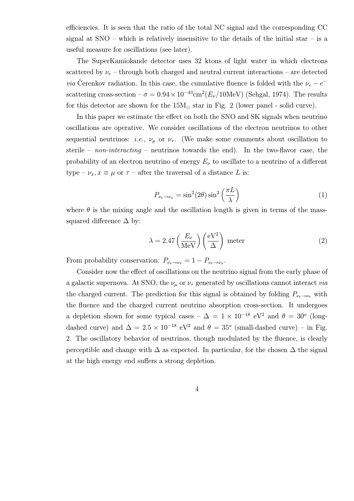efficiencies. It is seen that the ratio of the total NC signal and the corresponding CC signal at  $SNO$  – which is relatively insensitive to the details of the initial star – is a useful measure for oscillations (see later).

The SuperKamiokande detector uses 32 ktons of light water in which electrons scattered by  $\nu_e$  – through both charged and neutral current interactions – are detected *via* Cerenkov radiation. In this case, the cumulative fluence is folded with the  $\nu_e - e^$ scattering cross-section –  $\sigma = 0.94 \times 10^{-43}$ cm<sup>2</sup>( $E_{\nu}/10$ MeV) (Sehgal, 1974). The results for this detector are shown for the  $15M_{\odot}$  star in Fig. 2 (lower panel - solid curve).

In this paper we estimate the effect on both the SNO and SK signals when neutrino oscillations are operative. We consider oscillations of the electron neutrinos to other sequential neutrinos: *i.e.*,  $\nu_{\mu}$  or  $\nu_{\tau}$ . (We make some comments about oscillation to sterile – *non-interacting* – neutrinos towards the end). In the two-flavor case, the probability of an electron neutrino of energy  $E_{\nu}$  to oscillate to a neutrino of a different type –  $\nu_x, x \equiv \mu$  or  $\tau$  – after the traversal of a distance L is:

$$
P_{\nu_e \to \nu_x} = \sin^2(2\theta) \sin^2\left(\frac{\pi L}{\lambda}\right) \tag{1}
$$

where  $\theta$  is the mixing angle and the oscillation length is given in terms of the masssquared difference  $\Delta$  by:

$$
\lambda = 2.47 \left(\frac{E_{\nu}}{\text{MeV}}\right) \left(\frac{\text{eV}^2}{\Delta}\right) \text{ meter}
$$
 (2)

From probability conservation:  $P_{\nu_e \to \nu_e} = 1 - P_{\nu_e \to \nu_x}$ .

Consider now the effect of oscillations on the neutrino signal from the early phase of a galactic supernova. At SNO, the  $\nu_{\mu}$  or  $\nu_{\tau}$  generated by oscillations cannot interact *via* the charged current. The prediction for this signal is obtained by folding  $P_{\nu_e \to \nu_e}$  with the fluence and the charged current neutrino absorption cross-section. It undergoes a depletion shown for some typical cases –  $\Delta = 1 \times 10^{-18}$  eV<sup>2</sup> and  $\theta = 30^{\circ}$  (longdashed curve) and  $\Delta = 2.5 \times 10^{-18} \text{ eV}^2$  and  $\theta = 35^{\circ}$  (small-dashed curve) – in Fig. 2. The oscillatory behavior of neutrinos, though modulated by the fluence, is clearly perceptible and change with  $\Delta$  as expected. In particular, for the chosen  $\Delta$  the signal at the high energy end suffers a strong depletion.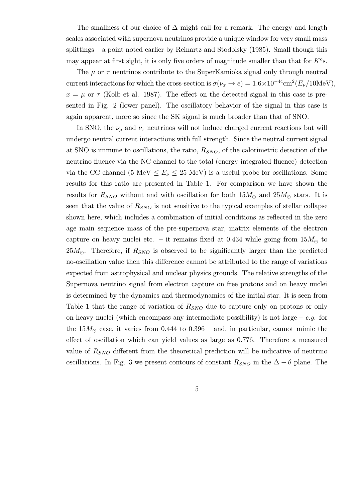The smallness of our choice of  $\Delta$  might call for a remark. The energy and length scales associated with supernova neutrinos provide a unique window for very small mass splittings – a point noted earlier by Reinartz and Stodolsky (1985). Small though this may appear at first sight, it is only five orders of magnitude smaller than that for  $K^o$ s.

The  $\mu$  or  $\tau$  neutrinos contribute to the SuperKamioka signal only through neutral current interactions for which the cross-section is  $\sigma(\nu_x \to e)=1.6\times10^{-44} \text{cm}^2(E_\nu/10\text{MeV}),$  $x = \mu$  or  $\tau$  (Kolb et al. 1987). The effect on the detected signal in this case is presented in Fig. 2 (lower panel). The oscillatory behavior of the signal in this case is again apparent, more so since the SK signal is much broader than that of SNO.

In SNO, the  $\nu_{\mu}$  and  $\nu_{\tau}$  neutrinos will not induce charged current reactions but will undergo neutral current interactions with full strength. Since the neutral current signal at SNO is immune to oscillations, the ratio,  $R_{SNO}$ , of the calorimetric detection of the neutrino fluence via the NC channel to the total (energy integrated fluence) detection via the CC channel (5 MeV  $\leq E_{\nu} \leq 25$  MeV) is a useful probe for oscillations. Some results for this ratio are presented in Table 1. For comparison we have shown the results for  $R_{SNO}$  without and with oscillation for both  $15M_{\odot}$  and  $25M_{\odot}$  stars. It is seen that the value of  $R_{SNO}$  is not sensitive to the typical examples of stellar collapse shown here, which includes a combination of initial conditions as reflected in the zero age main sequence mass of the pre-supernova star, matrix elements of the electron capture on heavy nuclei etc. – it remains fixed at 0.434 while going from  $15M_{\odot}$  to  $25M_{\odot}$ . Therefore, if  $R_{SNO}$  is observed to be significantly larger than the predicted no-oscillation value then this difference cannot be attributed to the range of variations expected from astrophysical and nuclear physics grounds. The relative strengths of the Supernova neutrino signal from electron capture on free protons and on heavy nuclei is determined by the dynamics and thermodynamics of the initial star. It is seen from Table 1 that the range of variation of  $R_{SNO}$  due to capture only on protons or only on heavy nuclei (which encompass any intermediate possibility) is not large –  $e.g.$  for the  $15M_{\odot}$  case, it varies from 0.444 to 0.396 – and, in particular, cannot mimic the effect of oscillation which can yield values as large as 0.776. Therefore a measured value of  $R_{SNO}$  different from the theoretical prediction will be indicative of neutrino oscillations. In Fig. 3 we present contours of constant  $R_{SNO}$  in the  $\Delta - \theta$  plane. The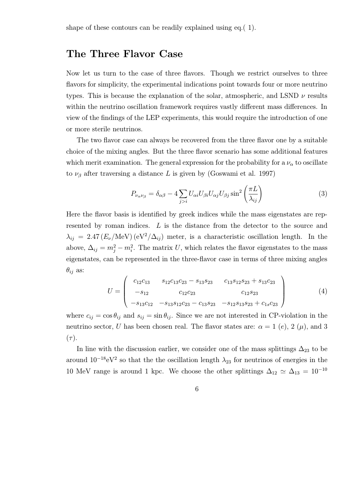#### The Three Flavor Case

Now let us turn to the case of three flavors. Though we restrict ourselves to three flavors for simplicity, the experimental indications point towards four or more neutrino types. This is because the explanation of the solar, atmospheric, and LSND  $\nu$  results within the neutrino oscillation framework requires vastly different mass differences. In view of the findings of the LEP experiments, this would require the introduction of one or more sterile neutrinos.

The two flavor case can always be recovered from the three flavor one by a suitable choice of the mixing angles. But the three flavor scenario has some additional features which merit examination. The general expression for the probability for a  $\nu_{\alpha}$  to oscillate to  $\nu_{\beta}$  after traversing a distance L is given by (Goswami et al. 1997)

$$
P_{\nu_{\alpha}\nu_{\beta}} = \delta_{\alpha\beta} - 4 \sum_{j>i} U_{\alpha i} U_{\beta i} U_{\alpha j} U_{\beta j} \sin^2 \left(\frac{\pi L}{\lambda_{ij}}\right) \tag{3}
$$

Here the flavor basis is identified by greek indices while the mass eigenstates are represented by roman indices. L is the distance from the detector to the source and  $\lambda_{ij} = 2.47 (E_{\nu}/\text{MeV})(eV^2/\Delta_{ij})$  meter, is a characteristic oscillation length. In the above,  $\Delta_{ij} = m_j^2 - m_i^2$ . The matrix U, which relates the flavor eigenstates to the mass eigenstates, can be represented in the three-flavor case in terms of three mixing angles  $\theta_{ij}$  as:

$$
U = \begin{pmatrix} c_{12}c_{13} & s_{12}c_{13}c_{23} - s_{13}s_{23} & c_{13}s_{12}s_{23} + s_{13}c_{23} \\ -s_{12} & c_{12}c_{23} & c_{12}s_{23} \\ -s_{13}c_{12} & -s_{13}s_{12}c_{23} - c_{13}s_{23} & -s_{12}s_{13}s_{23} + c_{1s}c_{23} \end{pmatrix}
$$
(4)

where  $c_{ij} = \cos \theta_{ij}$  and  $s_{ij} = \sin \theta_{ij}$ . Since we are not interested in CP-violation in the neutrino sector, U has been chosen real. The flavor states are:  $\alpha = 1$  (e), 2 ( $\mu$ ), and 3  $(\tau).$ 

In line with the discussion earlier, we consider one of the mass splittings  $\Delta_{23}$  to be around  $10^{-18}$ eV<sup>2</sup> so that the the oscillation length  $\lambda_{23}$  for neutrinos of energies in the 10 MeV range is around 1 kpc. We choose the other splittings  $\Delta_{12} \simeq \Delta_{13} = 10^{-10}$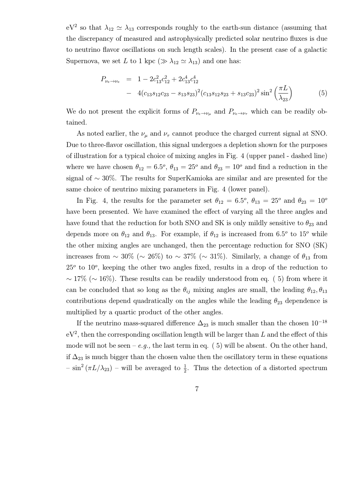$eV^2$  so that  $\lambda_{12} \simeq \lambda_{13}$  corresponds roughly to the earth-sun distance (assuming that the discrepancy of measured and astrophysically predicted solar neutrino fluxes is due to neutrino flavor oscillations on such length scales). In the present case of a galactic Supernova, we set L to 1 kpc ( $\gg \lambda_{12} \simeq \lambda_{13}$ ) and one has:

$$
P_{\nu_e \to \nu_e} = 1 - 2c_{13}^2 c_{12}^2 + 2c_{13}^4 c_{12}^4
$$
  
- 4(c\_{13}s\_{12}c\_{23} - s\_{13}s\_{23})^2(c\_{13}s\_{12}s\_{23} + s\_{13}c\_{23})^2 \sin^2\left(\frac{\pi L}{\lambda\_{23}}\right) (5)

We do not present the explicit forms of  $P_{\nu_e \to \nu_\mu}$  and  $P_{\nu_e \to \nu_\tau}$  which can be readily obtained.

As noted earlier, the  $\nu_{\mu}$  and  $\nu_{\tau}$  cannot produce the charged current signal at SNO. Due to three-flavor oscillation, this signal undergoes a depletion shown for the purposes of illustration for a typical choice of mixing angles in Fig. 4 (upper panel - dashed line) where we have chosen  $\theta_{12} = 6.5^{\circ}$ ,  $\theta_{13} = 25^{\circ}$  and  $\theta_{23} = 10^{\circ}$  and find a reduction in the signal of ∼ 30%. The results for SuperKamioka are similar and are presented for the same choice of neutrino mixing parameters in Fig. 4 (lower panel).

In Fig. 4, the results for the parameter set  $\theta_{12} = 6.5^o$ ,  $\theta_{13} = 25^o$  and  $\theta_{23} = 10^o$ have been presented. We have examined the effect of varying all the three angles and have found that the reduction for both SNO and SK is only mildly sensitive to  $\theta_{23}$  and depends more on  $\theta_{12}$  and  $\theta_{13}$ . For example, if  $\theta_{12}$  is increased from 6.5<sup>o</sup> to 15<sup>o</sup> while the other mixing angles are unchanged, then the percentage reduction for SNO (SK) increases from ~ 30% (~ 26%) to ~ 37% (~ 31%). Similarly, a change of  $\theta_{13}$  from  $25<sup>o</sup>$  to  $10<sup>o</sup>$ , keeping the other two angles fixed, results in a drop of the reduction to  $\sim 17\%$  ( $\sim 16\%$ ). These results can be readily understood from eq. (5) from where it can be concluded that so long as the  $\theta_{ij}$  mixing angles are small, the leading  $\theta_{12}, \theta_{13}$ contributions depend quadratically on the angles while the leading  $\theta_{23}$  dependence is multiplied by a quartic product of the other angles.

If the neutrino mass-squared difference  $\Delta_{23}$  is much smaller than the chosen  $10^{-18}$  $eV^2$ , then the corresponding oscillation length will be larger than L and the effect of this mode will not be seen – e.g., the last term in eq.  $(5)$  will be absent. On the other hand, if  $\Delta_{23}$  is much bigger than the chosen value then the oscillatory term in these equations  $-\sin^2(\pi L/\lambda_{23})$  – will be averaged to  $\frac{1}{2}$ . Thus the detection of a distorted spectrum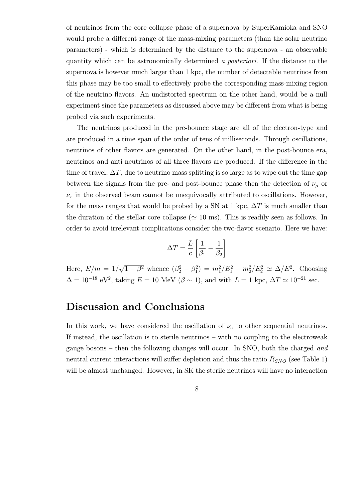of neutrinos from the core collapse phase of a supernova by SuperKamioka and SNO would probe a different range of the mass-mixing parameters (than the solar neutrino parameters) - which is determined by the distance to the supernova - an observable quantity which can be astronomically determined a posteriori. If the distance to the supernova is however much larger than 1 kpc, the number of detectable neutrinos from this phase may be too small to effectively probe the corresponding mass-mixing region of the neutrino flavors. An undistorted spectrum on the other hand, would be a null experiment since the parameters as discussed above may be different from what is being probed via such experiments.

The neutrinos produced in the pre-bounce stage are all of the electron-type and are produced in a time span of the order of tens of milliseconds. Through oscillations, neutrinos of other flavors are generated. On the other hand, in the post-bounce era, neutrinos and anti-neutrinos of all three flavors are produced. If the difference in the time of travel,  $\Delta T$ , due to neutrino mass splitting is so large as to wipe out the time gap between the signals from the pre- and post-bounce phase then the detection of  $\nu_{\mu}$  or  $\nu_{\tau}$  in the observed beam cannot be unequivocally attributed to oscillations. However, for the mass ranges that would be probed by a SN at 1 kpc,  $\Delta T$  is much smaller than the duration of the stellar core collapse ( $\simeq$  10 ms). This is readily seen as follows. In order to avoid irrelevant complications consider the two-flavor scenario. Here we have:

$$
\Delta T = \frac{L}{c} \left[ \frac{1}{\beta_1} - \frac{1}{\beta_2} \right]
$$

Here,  $E/m = 1/\sqrt{1-\beta^2}$  whence  $(\beta_2^2 - \beta_1^2) = m_1^2/E_1^2 - m_2^2/E_2^2 \simeq \Delta/E^2$ . Choosing  $\Delta = 10^{-18}$  eV<sup>2</sup>, taking  $E = 10$  MeV ( $\beta \sim 1$ ), and with  $L = 1$  kpc,  $\Delta T \simeq 10^{-21}$  sec.

#### Discussion and Conclusions

In this work, we have considered the oscillation of  $\nu_e$  to other sequential neutrinos. If instead, the oscillation is to sterile neutrinos – with no coupling to the electroweak gauge bosons – then the following changes will occur. In SNO, both the charged and neutral current interactions will suffer depletion and thus the ratio  $R_{SNO}$  (see Table 1) will be almost unchanged. However, in SK the sterile neutrinos will have no interaction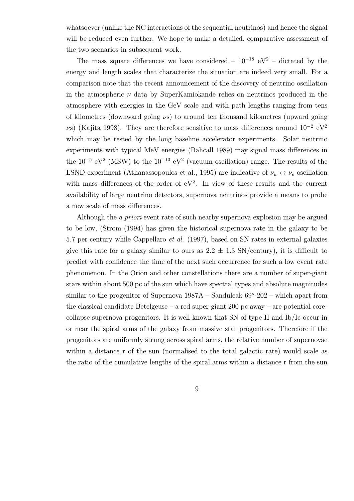whatsoever (unlike the NC interactions of the sequential neutrinos) and hence the signal will be reduced even further. We hope to make a detailed, comparative assessment of the two scenarios in subsequent work.

The mass square differences we have considered –  $10^{-18}$  eV<sup>2</sup> – dictated by the energy and length scales that characterize the situation are indeed very small. For a comparison note that the recent announcement of the discovery of neutrino oscillation in the atmospheric  $\nu$  data by SuperKamiokande relies on neutrinos produced in the atmosphere with energies in the GeV scale and with path lengths ranging from tens of kilometres (downward going  $\nu$ s) to around ten thousand kilometres (upward going vs) (Kajita 1998). They are therefore sensitive to mass differences around  $10^{-2} eV^2$ which may be tested by the long baseline accelerator experiments. Solar neutrino experiments with typical MeV energies (Bahcall 1989) may signal mass differences in the  $10^{-5}$  eV<sup>2</sup> (MSW) to the  $10^{-10}$  eV<sup>2</sup> (vacuum oscillation) range. The results of the LSND experiment (Athanassopoulos et al., 1995) are indicative of  $\nu_{\mu} \leftrightarrow \nu_{e}$  oscillation with mass differences of the order of  $eV^2$ . In view of these results and the current availability of large neutrino detectors, supernova neutrinos provide a means to probe a new scale of mass differences.

Although the a priori event rate of such nearby supernova explosion may be argued to be low, (Strom (1994) has given the historical supernova rate in the galaxy to be 5.7 per century while Cappellaro et al. (1997), based on SN rates in external galaxies give this rate for a galaxy similar to ours as  $2.2 \pm 1.3$  SN/century), it is difficult to predict with confidence the time of the next such occurrence for such a low event rate phenomenon. In the Orion and other constellations there are a number of super-giant stars within about 500 pc of the sun which have spectral types and absolute magnitudes similar to the progenitor of Supernova  $1987A -$ Sanduleak  $69^{\circ}$ -202 – which apart from the classical candidate Betelgeuse – a red super-giant 200 pc away – are potential corecollapse supernova progenitors. It is well-known that SN of type II and Ib/Ic occur in or near the spiral arms of the galaxy from massive star progenitors. Therefore if the progenitors are uniformly strung across spiral arms, the relative number of supernovae within a distance r of the sun (normalised to the total galactic rate) would scale as the ratio of the cumulative lengths of the spiral arms within a distance r from the sun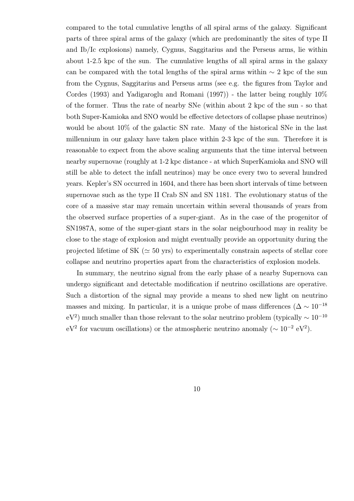compared to the total cumulative lengths of all spiral arms of the galaxy. Significant parts of three spiral arms of the galaxy (which are predominantly the sites of type II and Ib/Ic explosions) namely, Cygnus, Saggitarius and the Perseus arms, lie within about 1-2.5 kpc of the sun. The cumulative lengths of all spiral arms in the galaxy can be compared with the total lengths of the spiral arms within  $\sim 2$  kpc of the sun from the Cygnus, Saggitarius and Perseus arms (see e.g. the figures from Taylor and Cordes (1993) and Yadigaroglu and Romani (1997)) - the latter being roughly 10% of the former. Thus the rate of nearby SNe (within about 2 kpc of the sun - so that both Super-Kamioka and SNO would be effective detectors of collapse phase neutrinos) would be about  $10\%$  of the galactic SN rate. Many of the historical SNe in the last millennium in our galaxy have taken place within 2-3 kpc of the sun. Therefore it is reasonable to expect from the above scaling arguments that the time interval between nearby supernovae (roughly at 1-2 kpc distance - at which SuperKamioka and SNO will still be able to detect the infall neutrinos) may be once every two to several hundred years. Kepler's SN occurred in 1604, and there has been short intervals of time between supernovae such as the type II Crab SN and SN 1181. The evolutionary status of the core of a massive star may remain uncertain within several thousands of years from the observed surface properties of a super-giant. As in the case of the progenitor of SN1987A, some of the super-giant stars in the solar neigbourhood may in reality be close to the stage of explosion and might eventually provide an opportunity during the projected lifetime of SK ( $\simeq$  50 yrs) to experimentally constrain aspects of stellar core collapse and neutrino properties apart from the characteristics of explosion models.

In summary, the neutrino signal from the early phase of a nearby Supernova can undergo significant and detectable modification if neutrino oscillations are operative. Such a distortion of the signal may provide a means to shed new light on neutrino masses and mixing. In particular, it is a unique probe of mass differences ( $\Delta \sim 10^{-18}$ eV<sup>2</sup>) much smaller than those relevant to the solar neutrino problem (typically  $\sim 10^{-10}$ eV<sup>2</sup> for vacuum oscillations) or the atmospheric neutrino anomaly ( $\sim 10^{-2}$  eV<sup>2</sup>).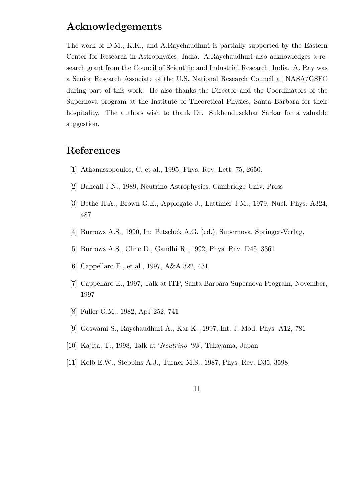### Acknowledgements

The work of D.M., K.K., and A.Raychaudhuri is partially supported by the Eastern Center for Research in Astrophysics, India. A.Raychaudhuri also acknowledges a research grant from the Council of Scientific and Industrial Research, India. A. Ray was a Senior Research Associate of the U.S. National Research Council at NASA/GSFC during part of this work. He also thanks the Director and the Coordinators of the Supernova program at the Institute of Theoretical Physics, Santa Barbara for their hospitality. The authors wish to thank Dr. Sukhendusekhar Sarkar for a valuable suggestion.

## References

- [1] Athanassopoulos, C. et al., 1995, Phys. Rev. Lett. 75, 2650.
- [2] Bahcall J.N., 1989, Neutrino Astrophysics. Cambridge Univ. Press
- [3] Bethe H.A., Brown G.E., Applegate J., Lattimer J.M., 1979, Nucl. Phys. A324, 487
- [4] Burrows A.S., 1990, In: Petschek A.G. (ed.), Supernova. Springer-Verlag,
- [5] Burrows A.S., Cline D., Gandhi R., 1992, Phys. Rev. D45, 3361
- [6] Cappellaro E., et al., 1997, A&A 322, 431
- [7] Cappellaro E., 1997, Talk at ITP, Santa Barbara Supernova Program, November, 1997
- [8] Fuller G.M., 1982, ApJ 252, 741
- [9] Goswami S., Raychaudhuri A., Kar K., 1997, Int. J. Mod. Phys. A12, 781
- [10] Kajita, T., 1998, Talk at 'Neutrino '98', Takayama, Japan
- [11] Kolb E.W., Stebbins A.J., Turner M.S., 1987, Phys. Rev. D35, 3598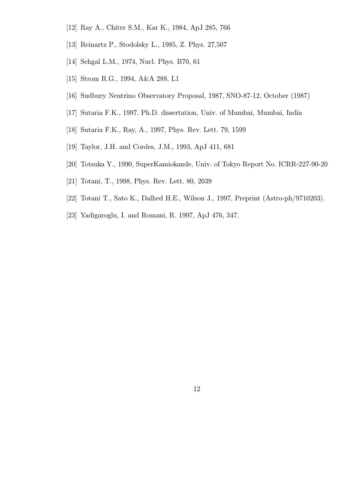- [12] Ray A., Chitre S.M., Kar K., 1984, ApJ 285, 766
- [13] Reinartz P., Stodolsky L., 1985, Z. Phys. 27,507
- [14] Sehgal L.M., 1974, Nucl. Phys. B70, 61
- [15] Strom R.G., 1994, A&A 288, L1
- [16] Sudbury Neutrino Observatory Proposal, 1987, SNO-87-12, October (1987)
- [17] Sutaria F.K., 1997, Ph.D. dissertation, Univ. of Mumbai, Mumbai, India
- [18] Sutaria F.K., Ray, A., 1997, Phys. Rev. Lett. 79, 1599
- [19] Taylor, J.H. and Cordes, J.M., 1993, ApJ 411, 681
- [20] Totsuka Y., 1990, SuperKamiokande, Univ. of Tokyo Report No. ICRR-227-90-20
- [21] Totani, T., 1998, Phys. Rev. Lett. 80, 2039
- [22] Totani T., Sato K., Dalhed H.E., Wilson J., 1997, Preprint (Astro-ph/9710203).
- [23] Yadigaroglu, I. and Romani, R. 1997, ApJ 476, 347.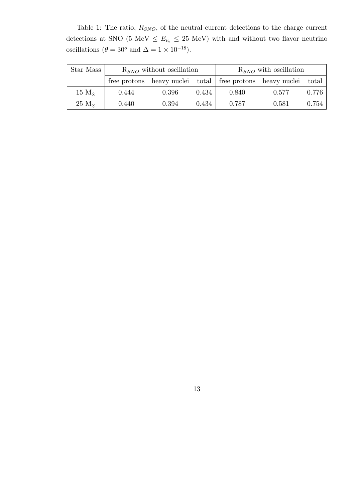Table 1: The ratio,  $R_{SNO}$ , of the neutral current detections to the charge current detections at SNO (5 MeV  $\le E_{\nu_e} \le 25$  MeV) with and without two flavor neutrino oscillations ( $\theta = 30^{\circ}$  and  $\Delta = 1 \times 10^{-18}$ ).

| Star Mass      | $R_{SNO}$ without oscillation |       |       | $R_{SNO}$ with oscillation |                                                                 |       |
|----------------|-------------------------------|-------|-------|----------------------------|-----------------------------------------------------------------|-------|
|                |                               |       |       |                            | free protons heavy nuclei total free protons heavy nuclei total |       |
| 15 $M_{\odot}$ | 0.444                         | 0.396 | 0.434 | 0.840                      | 0.577                                                           | 0.776 |
| $25 M_{\odot}$ | 0.440                         | 0.394 | 0.434 | 0.787                      | 0.581                                                           | 0.754 |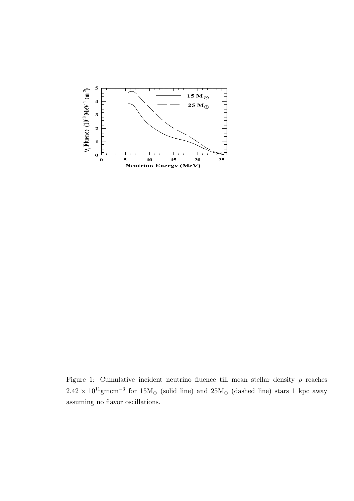

Figure 1: Cumulative incident neutrino fluence till mean stellar density  $\rho$  reaches  $2.42 \times 10^{11}$ gmcm<sup>-3</sup> for  $15M_{\odot}$  (solid line) and  $25M_{\odot}$  (dashed line) stars 1 kpc away assuming no flavor oscillations.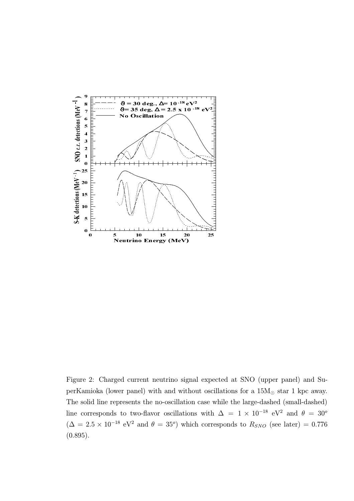

Figure 2: Charged current neutrino signal expected at SNO (upper panel) and SuperKamioka (lower panel) with and without oscillations for a  $15M_{\odot}$  star 1 kpc away. The solid line represents the no-oscillation case while the large-dashed (small-dashed) line corresponds to two-flavor oscillations with  $\Delta$  = 1 × 10<sup>-18</sup> eV<sup>2</sup> and  $\theta$  = 30<sup>o</sup>  $(\Delta = 2.5 \times 10^{-18} \text{ eV}^2 \text{ and } \theta = 35^{\circ})$  which corresponds to  $R_{SNO}$  (see later) = 0.776 (0.895).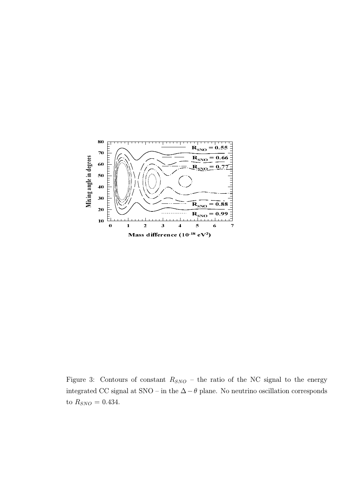

Figure 3: Contours of constant  $R_{SNO}$  – the ratio of the NC signal to the energy integrated CC signal at SNO – in the ∆−θ plane. No neutrino oscillation corresponds to  $R_{SNO} = 0.434$ .